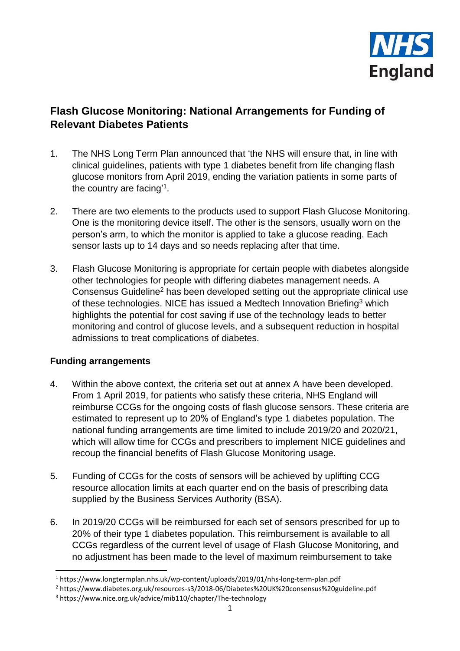

# **Flash Glucose Monitoring: National Arrangements for Funding of Relevant Diabetes Patients**

- 1. The NHS Long Term Plan announced that 'the NHS will ensure that, in line with clinical guidelines, patients with type 1 diabetes benefit from life changing flash glucose monitors from April 2019, ending the variation patients in some parts of the country are facing<sup>'1</sup>.
- 2. There are two elements to the products used to support Flash Glucose Monitoring. One is the monitoring device itself. The other is the sensors, usually worn on the person's arm, to which the monitor is applied to take a glucose reading. Each sensor lasts up to 14 days and so needs replacing after that time.
- 3. Flash Glucose Monitoring is appropriate for certain people with diabetes alongside other technologies for people with differing diabetes management needs. A Consensus Guideline<sup>2</sup> has been developed setting out the appropriate clinical use of these technologies. NICE has issued a Medtech Innovation Briefing<sup>3</sup> which highlights the potential for cost saving if use of the technology leads to better monitoring and control of glucose levels, and a subsequent reduction in hospital admissions to treat complications of diabetes.

## **Funding arrangements**

**.** 

- 4. Within the above context, the criteria set out at annex A have been developed. From 1 April 2019, for patients who satisfy these criteria, NHS England will reimburse CCGs for the ongoing costs of flash glucose sensors. These criteria are estimated to represent up to 20% of England's type 1 diabetes population. The national funding arrangements are time limited to include 2019/20 and 2020/21, which will allow time for CCGs and prescribers to implement NICE guidelines and recoup the financial benefits of Flash Glucose Monitoring usage.
- 5. Funding of CCGs for the costs of sensors will be achieved by uplifting CCG resource allocation limits at each quarter end on the basis of prescribing data supplied by the Business Services Authority (BSA).
- 6. In 2019/20 CCGs will be reimbursed for each set of sensors prescribed for up to 20% of their type 1 diabetes population. This reimbursement is available to all CCGs regardless of the current level of usage of Flash Glucose Monitoring, and no adjustment has been made to the level of maximum reimbursement to take

<sup>1</sup> https://www.longtermplan.nhs.uk/wp-content/uploads/2019/01/nhs-long-term-plan.pdf

<sup>2</sup> https://www.diabetes.org.uk/resources-s3/2018-06/Diabetes%20UK%20consensus%20guideline.pdf

<sup>3</sup> https://www.nice.org.uk/advice/mib110/chapter/The-technology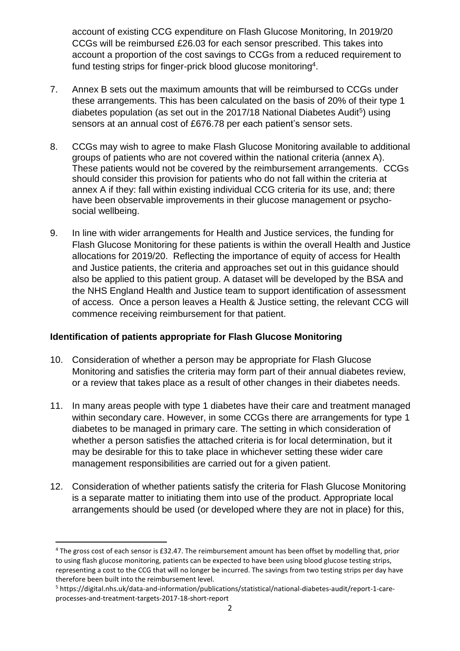account of existing CCG expenditure on Flash Glucose Monitoring, In 2019/20 CCGs will be reimbursed £26.03 for each sensor prescribed. This takes into account a proportion of the cost savings to CCGs from a reduced requirement to fund testing strips for finger-prick blood glucose monitoring<sup>4</sup>.

- 7. Annex B sets out the maximum amounts that will be reimbursed to CCGs under these arrangements. This has been calculated on the basis of 20% of their type 1 diabetes population (as set out in the 2017/18 National Diabetes Audit<sup>5</sup>) using sensors at an annual cost of £676.78 per each patient's sensor sets.
- 8. CCGs may wish to agree to make Flash Glucose Monitoring available to additional groups of patients who are not covered within the national criteria (annex A). These patients would not be covered by the reimbursement arrangements. CCGs should consider this provision for patients who do not fall within the criteria at annex A if they: fall within existing individual CCG criteria for its use, and; there have been observable improvements in their glucose management or psychosocial wellbeing.
- 9. In line with wider arrangements for Health and Justice services, the funding for Flash Glucose Monitoring for these patients is within the overall Health and Justice allocations for 2019/20. Reflecting the importance of equity of access for Health and Justice patients, the criteria and approaches set out in this guidance should also be applied to this patient group. A dataset will be developed by the BSA and the NHS England Health and Justice team to support identification of assessment of access. Once a person leaves a Health & Justice setting, the relevant CCG will commence receiving reimbursement for that patient.

## **Identification of patients appropriate for Flash Glucose Monitoring**

- 10. Consideration of whether a person may be appropriate for Flash Glucose Monitoring and satisfies the criteria may form part of their annual diabetes review, or a review that takes place as a result of other changes in their diabetes needs.
- 11. In many areas people with type 1 diabetes have their care and treatment managed within secondary care. However, in some CCGs there are arrangements for type 1 diabetes to be managed in primary care. The setting in which consideration of whether a person satisfies the attached criteria is for local determination, but it may be desirable for this to take place in whichever setting these wider care management responsibilities are carried out for a given patient.
- 12. Consideration of whether patients satisfy the criteria for Flash Glucose Monitoring is a separate matter to initiating them into use of the product. Appropriate local arrangements should be used (or developed where they are not in place) for this,

**.** 

<sup>4</sup> The gross cost of each sensor is £32.47. The reimbursement amount has been offset by modelling that, prior to using flash glucose monitoring, patients can be expected to have been using blood glucose testing strips, representing a cost to the CCG that will no longer be incurred. The savings from two testing strips per day have therefore been built into the reimbursement level.

<sup>5</sup> https://digital.nhs.uk/data-and-information/publications/statistical/national-diabetes-audit/report-1-careprocesses-and-treatment-targets-2017-18-short-report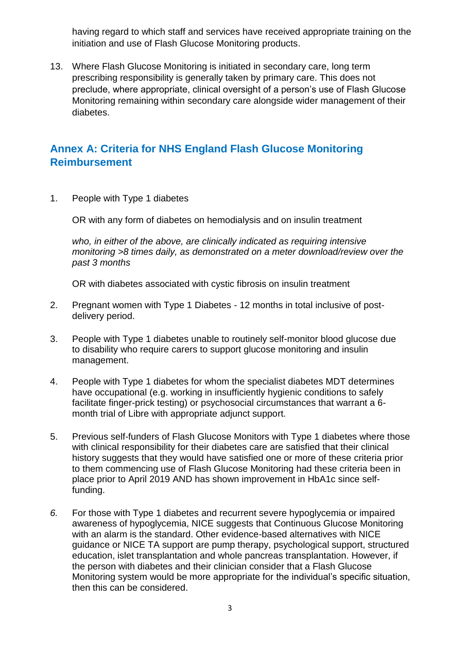having regard to which staff and services have received appropriate training on the initiation and use of Flash Glucose Monitoring products.

13. Where Flash Glucose Monitoring is initiated in secondary care, long term prescribing responsibility is generally taken by primary care. This does not preclude, where appropriate, clinical oversight of a person's use of Flash Glucose Monitoring remaining within secondary care alongside wider management of their diabetes.

# **Annex A: Criteria for NHS England Flash Glucose Monitoring Reimbursement**

1. People with Type 1 diabetes

OR with any form of diabetes on hemodialysis and on insulin treatment

*who, in either of the above, are clinically indicated as requiring intensive monitoring >8 times daily, as demonstrated on a meter download/review over the past 3 months*

OR with diabetes associated with cystic fibrosis on insulin treatment

- 2. Pregnant women with Type 1 Diabetes 12 months in total inclusive of postdelivery period.
- 3. People with Type 1 diabetes unable to routinely self-monitor blood glucose due to disability who require carers to support glucose monitoring and insulin management.
- 4. People with Type 1 diabetes for whom the specialist diabetes MDT determines have occupational (e.g. working in insufficiently hygienic conditions to safely facilitate finger-prick testing) or psychosocial circumstances that warrant a 6 month trial of Libre with appropriate adjunct support.
- 5. Previous self-funders of Flash Glucose Monitors with Type 1 diabetes where those with clinical responsibility for their diabetes care are satisfied that their clinical history suggests that they would have satisfied one or more of these criteria prior to them commencing use of Flash Glucose Monitoring had these criteria been in place prior to April 2019 AND has shown improvement in HbA1c since selffunding.
- *6.* For those with Type 1 diabetes and recurrent severe hypoglycemia or impaired awareness of hypoglycemia, NICE suggests that Continuous Glucose Monitoring with an alarm is the standard. Other evidence-based alternatives with NICE guidance or NICE TA support are pump therapy, psychological support, structured education, islet transplantation and whole pancreas transplantation. However, if the person with diabetes and their clinician consider that a Flash Glucose Monitoring system would be more appropriate for the individual's specific situation, then this can be considered.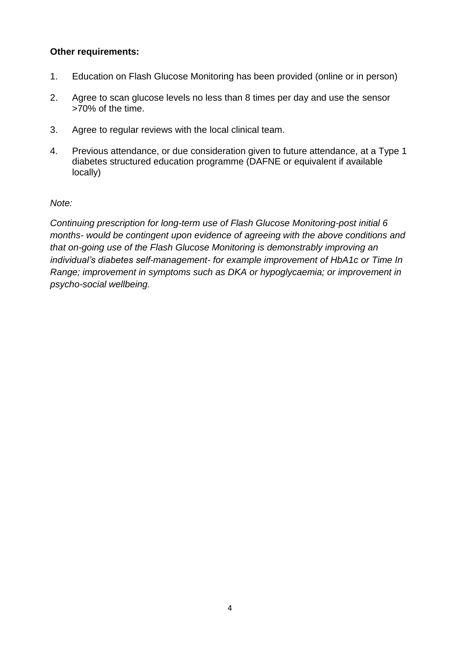#### **Other requirements:**

- 1. Education on Flash Glucose Monitoring has been provided (online or in person)
- 2. Agree to scan glucose levels no less than 8 times per day and use the sensor >70% of the time.
- 3. Agree to regular reviews with the local clinical team.
- 4. Previous attendance, or due consideration given to future attendance, at a Type 1 diabetes structured education programme (DAFNE or equivalent if available locally)

#### *Note:*

*Continuing prescription for long-term use of Flash Glucose Monitoring-post initial 6 months- would be contingent upon evidence of agreeing with the above conditions and that on-going use of the Flash Glucose Monitoring is demonstrably improving an individual's diabetes self-management- for example improvement of HbA1c or Time In Range; improvement in symptoms such as DKA or hypoglycaemia; or improvement in psycho-social wellbeing.*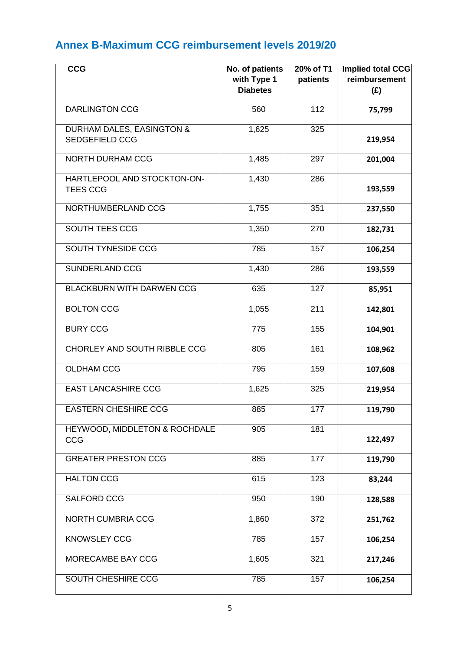# **Annex B-Maximum CCG reimbursement levels 2019/20**

| <b>CCG</b>                                         | No. of patients<br>with Type 1 | 20% of T1<br>patients | <b>Implied total CCG</b><br>reimbursement |
|----------------------------------------------------|--------------------------------|-----------------------|-------------------------------------------|
|                                                    | <b>Diabetes</b>                |                       | (E)                                       |
| <b>DARLINGTON CCG</b>                              | 560                            | 112                   | 75,799                                    |
| DURHAM DALES, EASINGTON &<br><b>SEDGEFIELD CCG</b> | 1,625                          | 325                   | 219,954                                   |
| <b>NORTH DURHAM CCG</b>                            | 1,485                          | 297                   | 201,004                                   |
| HARTLEPOOL AND STOCKTON-ON-<br><b>TEES CCG</b>     | 1,430                          | 286                   | 193,559                                   |
| NORTHUMBERLAND CCG                                 | 1,755                          | 351                   | 237,550                                   |
| SOUTH TEES CCG                                     | 1,350                          | 270                   | 182,731                                   |
| <b>SOUTH TYNESIDE CCG</b>                          | 785                            | 157                   | 106,254                                   |
| <b>SUNDERLAND CCG</b>                              | 1,430                          | 286                   | 193,559                                   |
| <b>BLACKBURN WITH DARWEN CCG</b>                   | 635                            | 127                   | 85,951                                    |
| <b>BOLTON CCG</b>                                  | 1,055                          | 211                   | 142,801                                   |
| <b>BURY CCG</b>                                    | 775                            | 155                   | 104,901                                   |
| CHORLEY AND SOUTH RIBBLE CCG                       | 805                            | 161                   | 108,962                                   |
| <b>OLDHAM CCG</b>                                  | 795                            | 159                   | 107,608                                   |
| <b>EAST LANCASHIRE CCG</b>                         | 1,625                          | 325                   | 219,954                                   |
| <b>EASTERN CHESHIRE CCG</b>                        | 885                            | 177                   | 119,790                                   |
| HEYWOOD, MIDDLETON & ROCHDALE<br>CCG               | 905                            | 181                   | 122,497                                   |
| <b>GREATER PRESTON CCG</b>                         | 885                            | 177                   | 119,790                                   |
| <b>HALTON CCG</b>                                  | 615                            | 123                   | 83,244                                    |
| <b>SALFORD CCG</b>                                 | 950                            | 190                   | 128,588                                   |
| NORTH CUMBRIA CCG                                  | 1,860                          | 372                   | 251,762                                   |
| <b>KNOWSLEY CCG</b>                                | 785                            | 157                   | 106,254                                   |
| MORECAMBE BAY CCG                                  | 1,605                          | 321                   | 217,246                                   |
| SOUTH CHESHIRE CCG                                 | 785                            | 157                   | 106,254                                   |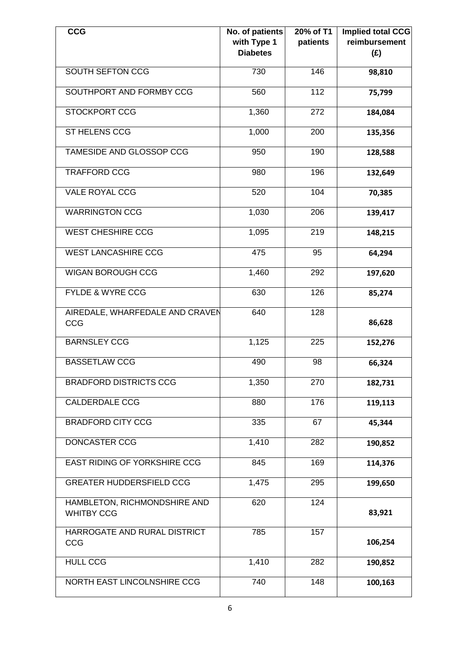| <b>CCG</b>                                        | No. of patients<br>with Type 1<br><b>Diabetes</b> | 20% of T1<br>patients | <b>Implied total CCG</b><br>reimbursement<br>(E) |
|---------------------------------------------------|---------------------------------------------------|-----------------------|--------------------------------------------------|
| <b>SOUTH SEFTON CCG</b>                           | 730                                               | 146                   | 98,810                                           |
| SOUTHPORT AND FORMBY CCG                          | 560                                               | 112                   | 75,799                                           |
| <b>STOCKPORT CCG</b>                              | 1,360                                             | 272                   | 184,084                                          |
| ST HELENS CCG                                     | 1,000                                             | 200                   | 135,356                                          |
| TAMESIDE AND GLOSSOP CCG                          | 950                                               | 190                   | 128,588                                          |
| <b>TRAFFORD CCG</b>                               | 980                                               | 196                   | 132,649                                          |
| <b>VALE ROYAL CCG</b>                             | 520                                               | 104                   | 70,385                                           |
| <b>WARRINGTON CCG</b>                             | 1,030                                             | 206                   | 139,417                                          |
| <b>WEST CHESHIRE CCG</b>                          | 1,095                                             | 219                   | 148,215                                          |
| <b>WEST LANCASHIRE CCG</b>                        | 475                                               | 95                    | 64,294                                           |
| <b>WIGAN BOROUGH CCG</b>                          | 1,460                                             | 292                   | 197,620                                          |
| <b>FYLDE &amp; WYRE CCG</b>                       | 630                                               | 126                   | 85,274                                           |
| AIREDALE, WHARFEDALE AND CRAVEN<br>CCG            | 640                                               | 128                   | 86,628                                           |
| <b>BARNSLEY CCG</b>                               | 1,125                                             | 225                   | 152,276                                          |
| <b>BASSETLAW CCG</b>                              | 490                                               | 98                    | 66,324                                           |
| <b>BRADFORD DISTRICTS CCG</b>                     | 1,350                                             | 270                   | 182,731                                          |
| <b>CALDERDALE CCG</b>                             | 880                                               | 176                   | 119,113                                          |
| <b>BRADFORD CITY CCG</b>                          | 335                                               | 67                    | 45,344                                           |
| DONCASTER CCG                                     | 1,410                                             | 282                   | 190,852                                          |
| <b>EAST RIDING OF YORKSHIRE CCG</b>               | 845                                               | 169                   | 114,376                                          |
| <b>GREATER HUDDERSFIELD CCG</b>                   | 1,475                                             | 295                   | 199,650                                          |
| HAMBLETON, RICHMONDSHIRE AND<br><b>WHITBY CCG</b> | 620                                               | 124                   | 83,921                                           |
| HARROGATE AND RURAL DISTRICT<br>CCG               | 785                                               | 157                   | 106,254                                          |
| <b>HULL CCG</b>                                   | 1,410                                             | 282                   | 190,852                                          |
| NORTH EAST LINCOLNSHIRE CCG                       | 740                                               | 148                   | 100,163                                          |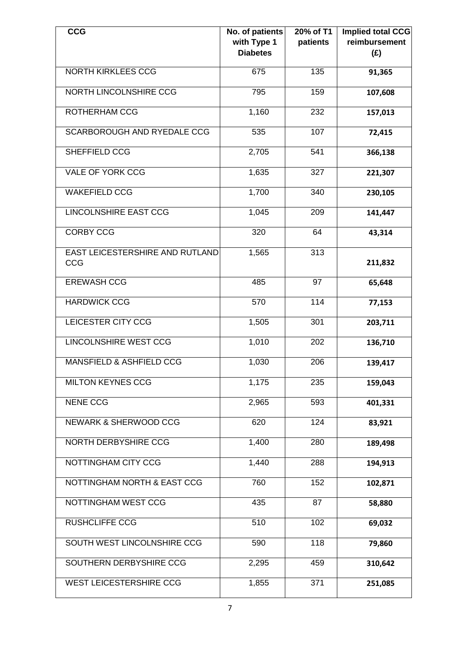| <b>CCG</b>                             | No. of patients<br>with Type 1<br><b>Diabetes</b> | 20% of T1<br>patients | Implied total CCG<br>reimbursement<br>(E) |
|----------------------------------------|---------------------------------------------------|-----------------------|-------------------------------------------|
| <b>NORTH KIRKLEES CCG</b>              | 675                                               | 135                   | 91,365                                    |
| NORTH LINCOLNSHIRE CCG                 | 795                                               | 159                   | 107,608                                   |
| ROTHERHAM CCG                          | 1,160                                             | 232                   | 157,013                                   |
| <b>SCARBOROUGH AND RYEDALE CCG</b>     | 535                                               | 107                   | 72,415                                    |
| SHEFFIELD CCG                          | 2,705                                             | 541                   | 366,138                                   |
| <b>VALE OF YORK CCG</b>                | 1,635                                             | 327                   | 221,307                                   |
| <b>WAKEFIELD CCG</b>                   | 1,700                                             | 340                   | 230,105                                   |
| <b>LINCOLNSHIRE EAST CCG</b>           | 1,045                                             | 209                   | 141,447                                   |
| <b>CORBY CCG</b>                       | 320                                               | 64                    | 43,314                                    |
| EAST LEICESTERSHIRE AND RUTLAND<br>CCG | 1,565                                             | 313                   | 211,832                                   |
| <b>EREWASH CCG</b>                     | 485                                               | 97                    | 65,648                                    |
| <b>HARDWICK CCG</b>                    | 570                                               | 114                   | 77,153                                    |
| LEICESTER CITY CCG                     | 1,505                                             | 301                   | 203,711                                   |
| <b>LINCOLNSHIRE WEST CCG</b>           | 1,010                                             | 202                   | 136,710                                   |
| MANSFIELD & ASHFIELD CCG               | 1,030                                             | 206                   | 139,417                                   |
| <b>MILTON KEYNES CCG</b>               | 1,175                                             | 235                   | 159,043                                   |
| <b>NENE CCG</b>                        | 2,965                                             | 593                   | 401,331                                   |
| NEWARK & SHERWOOD CCG                  | 620                                               | 124                   | 83,921                                    |
| NORTH DERBYSHIRE CCG                   | 1,400                                             | 280                   | 189,498                                   |
| NOTTINGHAM CITY CCG                    | 1,440                                             | 288                   | 194,913                                   |
| NOTTINGHAM NORTH & EAST CCG            | 760                                               | 152                   | 102,871                                   |
| NOTTINGHAM WEST CCG                    | 435                                               | 87                    | 58,880                                    |
| <b>RUSHCLIFFE CCG</b>                  | 510                                               | 102                   | 69,032                                    |
| SOUTH WEST LINCOLNSHIRE CCG            | 590                                               | 118                   | 79,860                                    |
| SOUTHERN DERBYSHIRE CCG                | 2,295                                             | 459                   | 310,642                                   |
| <b>WEST LEICESTERSHIRE CCG</b>         | 1,855                                             | 371                   | 251,085                                   |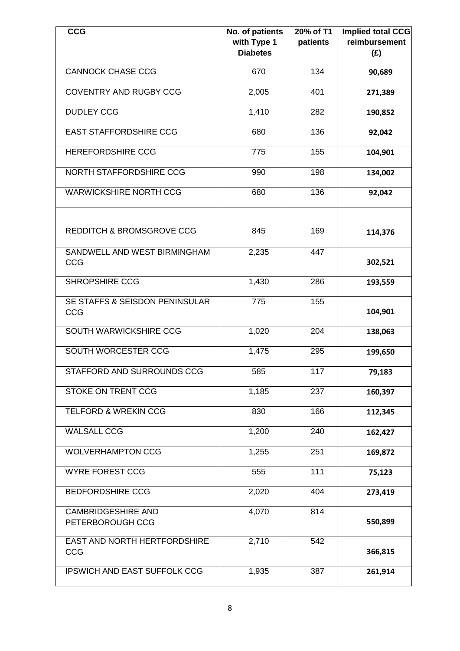| <b>CCG</b>                                    | No. of patients<br>with Type 1<br><b>Diabetes</b> | 20% of T1<br>patients | <b>Implied total CCG</b><br>reimbursement<br>(E) |
|-----------------------------------------------|---------------------------------------------------|-----------------------|--------------------------------------------------|
| <b>CANNOCK CHASE CCG</b>                      | 670                                               | 134                   | 90,689                                           |
| <b>COVENTRY AND RUGBY CCG</b>                 | 2,005                                             | 401                   | 271,389                                          |
| <b>DUDLEY CCG</b>                             | 1,410                                             | 282                   | 190,852                                          |
| <b>EAST STAFFORDSHIRE CCG</b>                 | 680                                               | 136                   | 92,042                                           |
| <b>HEREFORDSHIRE CCG</b>                      | 775                                               | 155                   | 104,901                                          |
| NORTH STAFFORDSHIRE CCG                       | 990                                               | 198                   | 134,002                                          |
| <b>WARWICKSHIRE NORTH CCG</b>                 | 680                                               | 136                   | 92,042                                           |
| <b>REDDITCH &amp; BROMSGROVE CCG</b>          | 845                                               | 169                   | 114,376                                          |
| SANDWELL AND WEST BIRMINGHAM<br>CCG           | 2,235                                             | 447                   | 302,521                                          |
| <b>SHROPSHIRE CCG</b>                         | 1,430                                             | 286                   | 193,559                                          |
| SE STAFFS & SEISDON PENINSULAR<br><b>CCG</b>  | $\overline{775}$                                  | 155                   | 104,901                                          |
| SOUTH WARWICKSHIRE CCG                        | 1,020                                             | 204                   | 138,063                                          |
| <b>SOUTH WORCESTER CCG</b>                    | 1,475                                             | 295                   | 199,650                                          |
| STAFFORD AND SURROUNDS CCG                    | 585                                               | $\overline{117}$      | 79,183                                           |
| <b>STOKE ON TRENT CCG</b>                     | 1,185                                             | 237                   | 160,397                                          |
| <b>TELFORD &amp; WREKIN CCG</b>               | 830                                               | 166                   | 112,345                                          |
| <b>WALSALL CCG</b>                            | 1,200                                             | 240                   | 162,427                                          |
| <b>WOLVERHAMPTON CCG</b>                      | 1,255                                             | 251                   | 169,872                                          |
| <b>WYRE FOREST CCG</b>                        | 555                                               | 111                   | 75,123                                           |
| <b>BEDFORDSHIRE CCG</b>                       | 2,020                                             | 404                   | 273,419                                          |
| <b>CAMBRIDGESHIRE AND</b><br>PETERBOROUGH CCG | 4,070                                             | 814                   | 550,899                                          |
| <b>EAST AND NORTH HERTFORDSHIRE</b><br>CCG    | 2,710                                             | $\overline{542}$      | 366,815                                          |
| <b>IPSWICH AND EAST SUFFOLK CCG</b>           | 1,935                                             | 387                   | 261,914                                          |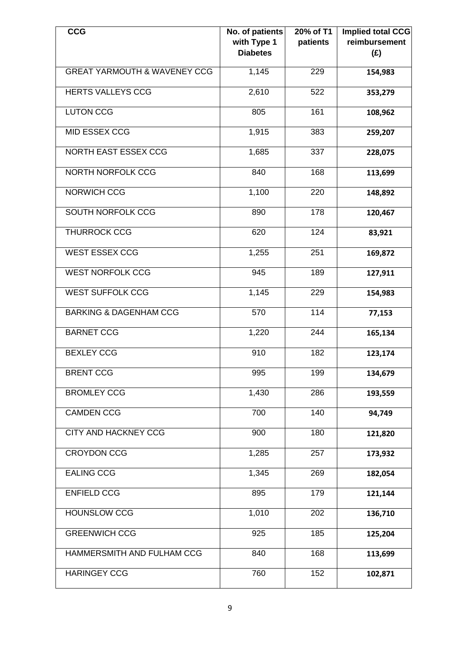| <b>CCG</b>                              | No. of patients<br>with Type 1<br><b>Diabetes</b> | $20%$ of T1<br>patients | Implied total CCG<br>reimbursement<br>(E) |
|-----------------------------------------|---------------------------------------------------|-------------------------|-------------------------------------------|
| <b>GREAT YARMOUTH &amp; WAVENEY CCG</b> | 1,145                                             | 229                     | 154,983                                   |
| <b>HERTS VALLEYS CCG</b>                | 2,610                                             | 522                     | 353,279                                   |
| <b>LUTON CCG</b>                        | 805                                               | 161                     | 108,962                                   |
| <b>MID ESSEX CCG</b>                    | 1,915                                             | 383                     | 259,207                                   |
| <b>NORTH EAST ESSEX CCG</b>             | 1,685                                             | 337                     | 228,075                                   |
| <b>NORTH NORFOLK CCG</b>                | 840                                               | 168                     | 113,699                                   |
| NORWICH CCG                             | 1,100                                             | 220                     | 148,892                                   |
| <b>SOUTH NORFOLK CCG</b>                | 890                                               | 178                     | 120,467                                   |
| <b>THURROCK CCG</b>                     | 620                                               | 124                     | 83,921                                    |
| <b>WEST ESSEX CCG</b>                   | 1,255                                             | 251                     | 169,872                                   |
| <b>WEST NORFOLK CCG</b>                 | 945                                               | 189                     | 127,911                                   |
| <b>WEST SUFFOLK CCG</b>                 | 1,145                                             | 229                     | 154,983                                   |
| <b>BARKING &amp; DAGENHAM CCG</b>       | 570                                               | 114                     | 77,153                                    |
| <b>BARNET CCG</b>                       | 1,220                                             | 244                     | 165,134                                   |
| <b>BEXLEY CCG</b>                       | 910                                               | 182                     | 123,174                                   |
| <b>BRENT CCG</b>                        | 995                                               | 199                     | 134,679                                   |
| <b>BROMLEY CCG</b>                      | 1,430                                             | 286                     | 193,559                                   |
| <b>CAMDEN CCG</b>                       | 700                                               | 140                     | 94,749                                    |
| <b>CITY AND HACKNEY CCG</b>             | 900                                               | 180                     | 121,820                                   |
| <b>CROYDON CCG</b>                      | 1,285                                             | 257                     | 173,932                                   |
| <b>EALING CCG</b>                       | 1,345                                             | 269                     | 182,054                                   |
| <b>ENFIELD CCG</b>                      | 895                                               | 179                     | 121,144                                   |
| <b>HOUNSLOW CCG</b>                     | 1,010                                             | 202                     | 136,710                                   |
| <b>GREENWICH CCG</b>                    | 925                                               | 185                     | 125,204                                   |
| HAMMERSMITH AND FULHAM CCG              | 840                                               | 168                     | 113,699                                   |
| <b>HARINGEY CCG</b>                     | 760                                               | 152                     | 102,871                                   |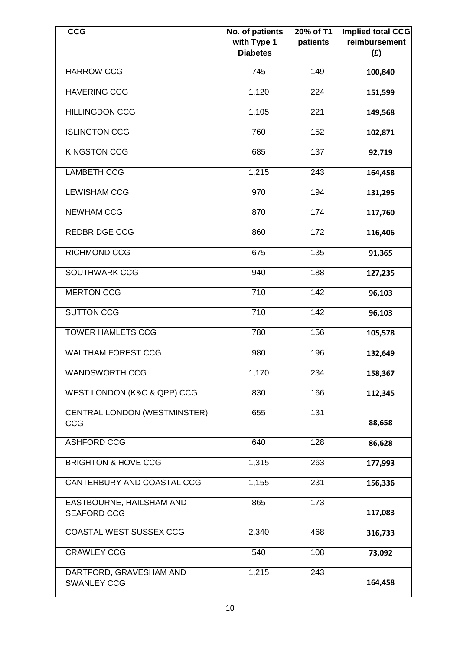| <b>CCG</b>                                     | No. of patients<br>with Type 1 | 20% of T1<br>patients | Implied total CCG<br>reimbursement |
|------------------------------------------------|--------------------------------|-----------------------|------------------------------------|
|                                                | <b>Diabetes</b>                |                       | (E)                                |
| <b>HARROW CCG</b>                              | 745                            | 149                   | 100,840                            |
| <b>HAVERING CCG</b>                            | 1,120                          | 224                   | 151,599                            |
| <b>HILLINGDON CCG</b>                          | 1,105                          | 221                   | 149,568                            |
| <b>ISLINGTON CCG</b>                           | 760                            | 152                   | 102,871                            |
| <b>KINGSTON CCG</b>                            | 685                            | 137                   | 92,719                             |
| <b>LAMBETH CCG</b>                             | 1,215                          | $\overline{243}$      | 164,458                            |
| <b>LEWISHAM CCG</b>                            | 970                            | 194                   | 131,295                            |
| <b>NEWHAM CCG</b>                              | 870                            | 174                   | 117,760                            |
| <b>REDBRIDGE CCG</b>                           | 860                            | 172                   | 116,406                            |
| <b>RICHMOND CCG</b>                            | 675                            | 135                   | 91,365                             |
| SOUTHWARK CCG                                  | 940                            | 188                   | 127,235                            |
| <b>MERTON CCG</b>                              | 710                            | 142                   | 96,103                             |
| <b>SUTTON CCG</b>                              | $\overline{710}$               | 142                   | 96,103                             |
| <b>TOWER HAMLETS CCG</b>                       | 780                            | 156                   | 105,578                            |
| <b>WALTHAM FOREST CCG</b>                      | 980                            | 196                   | 132,649                            |
| <b>WANDSWORTH CCG</b>                          | 1,170                          | 234                   | 158,367                            |
| WEST LONDON (K&C & QPP) CCG                    | 830                            | 166                   | 112,345                            |
| <b>CENTRAL LONDON (WESTMINSTER)</b><br>CCG     | 655                            | 131                   | 88,658                             |
| <b>ASHFORD CCG</b>                             | 640                            | 128                   | 86,628                             |
| <b>BRIGHTON &amp; HOVE CCG</b>                 | 1,315                          | 263                   | 177,993                            |
| CANTERBURY AND COASTAL CCG                     | 1,155                          | 231                   | 156,336                            |
| EASTBOURNE, HAILSHAM AND<br><b>SEAFORD CCG</b> | 865                            | $\overline{173}$      | 117,083                            |
| COASTAL WEST SUSSEX CCG                        | 2,340                          | 468                   | 316,733                            |
| <b>CRAWLEY CCG</b>                             | 540                            | 108                   | 73,092                             |
| DARTFORD, GRAVESHAM AND<br><b>SWANLEY CCG</b>  | 1,215                          | 243                   | 164,458                            |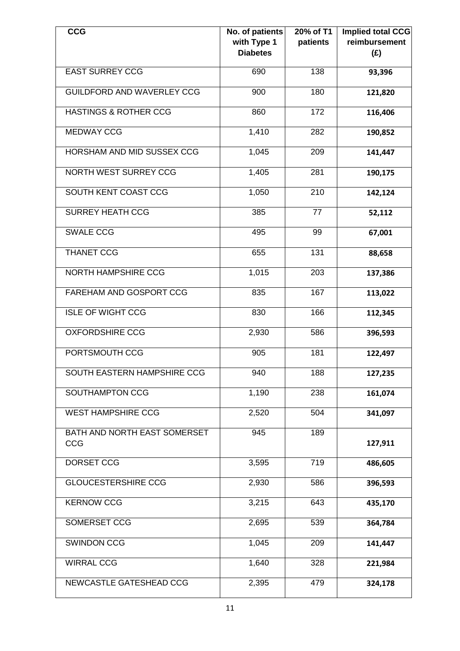| <b>CCG</b>                          | No. of patients<br>with Type 1<br><b>Diabetes</b> | 20% of T1<br>patients | Implied total CCG<br>reimbursement<br>(E) |
|-------------------------------------|---------------------------------------------------|-----------------------|-------------------------------------------|
| <b>EAST SURREY CCG</b>              | 690                                               | 138                   | 93,396                                    |
| GUILDFORD AND WAVERLEY CCG          | 900                                               | 180                   | 121,820                                   |
| <b>HASTINGS &amp; ROTHER CCG</b>    | 860                                               | 172                   | 116,406                                   |
| <b>MEDWAY CCG</b>                   | 1,410                                             | 282                   | 190,852                                   |
| HORSHAM AND MID SUSSEX CCG          | 1,045                                             | 209                   | 141,447                                   |
| <b>NORTH WEST SURREY CCG</b>        | 1,405                                             | 281                   | 190,175                                   |
| SOUTH KENT COAST CCG                | 1,050                                             | 210                   | 142,124                                   |
| <b>SURREY HEATH CCG</b>             | 385                                               | 77                    | 52,112                                    |
| <b>SWALE CCG</b>                    | 495                                               | 99                    | 67,001                                    |
| <b>THANET CCG</b>                   | 655                                               | 131                   | 88,658                                    |
| <b>NORTH HAMPSHIRE CCG</b>          | 1,015                                             | 203                   | 137,386                                   |
| FAREHAM AND GOSPORT CCG             | 835                                               | 167                   | 113,022                                   |
| <b>ISLE OF WIGHT CCG</b>            | 830                                               | 166                   | 112,345                                   |
| <b>OXFORDSHIRE CCG</b>              | 2,930                                             | 586                   | 396,593                                   |
| PORTSMOUTH CCG                      | 905                                               | 181                   | 122,497                                   |
| SOUTH EASTERN HAMPSHIRE CCG         | 940                                               | 188                   | 127,235                                   |
| <b>SOUTHAMPTON CCG</b>              | 1,190                                             | 238                   | 161,074                                   |
| <b>WEST HAMPSHIRE CCG</b>           | 2,520                                             | 504                   | 341,097                                   |
| BATH AND NORTH EAST SOMERSET<br>CCG | 945                                               | 189                   | 127,911                                   |
| DORSET CCG                          | 3,595                                             | 719                   | 486,605                                   |
| <b>GLOUCESTERSHIRE CCG</b>          | 2,930                                             | 586                   | 396,593                                   |
| <b>KERNOW CCG</b>                   | 3,215                                             | 643                   | 435,170                                   |
| SOMERSET CCG                        | 2,695                                             | 539                   | 364,784                                   |
| <b>SWINDON CCG</b>                  | 1,045                                             | 209                   | 141,447                                   |
| <b>WIRRAL CCG</b>                   | 1,640                                             | 328                   | 221,984                                   |
| NEWCASTLE GATESHEAD CCG             | 2,395                                             | 479                   | 324,178                                   |